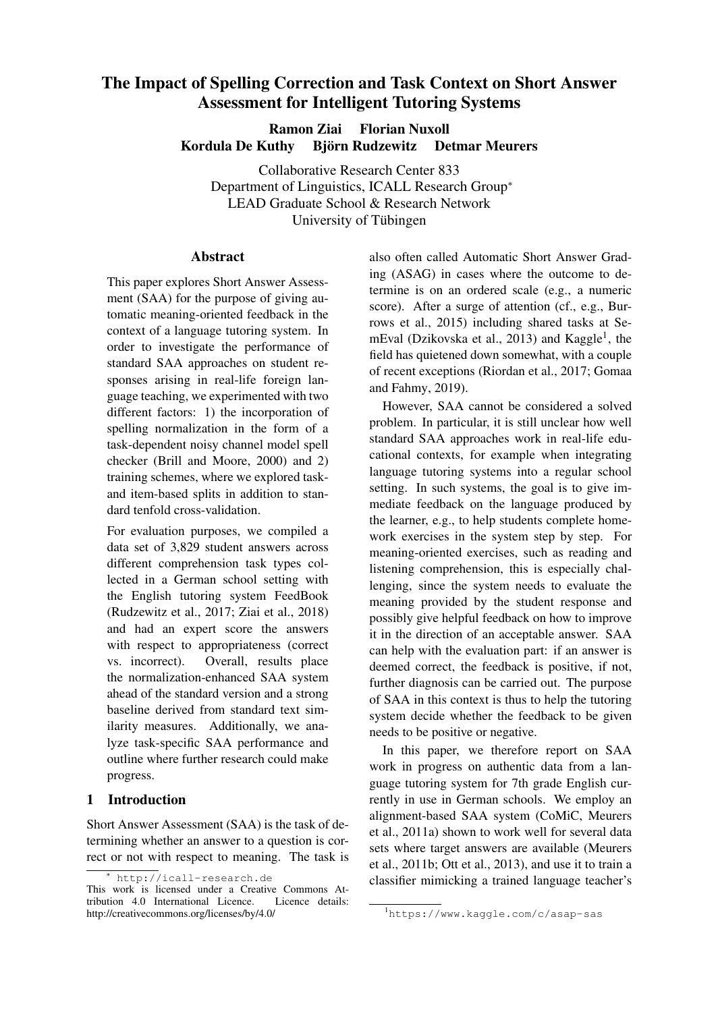# <span id="page-0-0"></span>The Impact of Spelling Correction and Task Context on Short Answer Assessment for Intelligent Tutoring Systems

Ramon Ziai Florian Nuxoll Kordula De Kuthy i Biörn Rudzewitz i Detmar Meurers

Collaborative Research Center 833 Department of Linguistics, ICALL Research Group<sup>∗</sup> LEAD Graduate School & Research Network University of Tübingen

### Abstract

This paper explores Short Answer Assessment (SAA) for the purpose of giving automatic meaning-oriented feedback in the context of a language tutoring system. In order to investigate the performance of standard SAA approaches on student responses arising in real-life foreign language teaching, we experimented with two different factors: 1) the incorporation of spelling normalization in the form of a task-dependent noisy channel model spell checker [\(Brill and Moore,](#page-5-0) [2000\)](#page-5-0) and 2) training schemes, where we explored taskand item-based splits in addition to standard tenfold cross-validation.

For evaluation purposes, we compiled a data set of 3,829 student answers across different comprehension task types collected in a German school setting with the English tutoring system FeedBook [\(Rudzewitz et al.,](#page-6-0) [2017;](#page-6-0) [Ziai et al.,](#page-6-1) [2018\)](#page-6-1) and had an expert score the answers with respect to appropriateness (correct vs. incorrect). Overall, results place the normalization-enhanced SAA system ahead of the standard version and a strong baseline derived from standard text similarity measures. Additionally, we analyze task-specific SAA performance and outline where further research could make progress.

## 1 Introduction

Short Answer Assessment (SAA) is the task of determining whether an answer to a question is correct or not with respect to meaning. The task is

also often called Automatic Short Answer Grading (ASAG) in cases where the outcome to determine is on an ordered scale (e.g., a numeric score). After a surge of attention (cf., e.g., [Bur](#page-5-1)[rows et al.,](#page-5-1) [2015\)](#page-5-1) including shared tasks at Se-mEval [\(Dzikovska et al.,](#page-5-2) [2013\)](#page-5-2) and Kaggle<sup>1</sup>, the field has quietened down somewhat, with a couple of recent exceptions [\(Riordan et al.,](#page-6-2) [2017;](#page-6-2) [Gomaa](#page-6-3) [and Fahmy,](#page-6-3) [2019\)](#page-6-3).

However, SAA cannot be considered a solved problem. In particular, it is still unclear how well standard SAA approaches work in real-life educational contexts, for example when integrating language tutoring systems into a regular school setting. In such systems, the goal is to give immediate feedback on the language produced by the learner, e.g., to help students complete homework exercises in the system step by step. For meaning-oriented exercises, such as reading and listening comprehension, this is especially challenging, since the system needs to evaluate the meaning provided by the student response and possibly give helpful feedback on how to improve it in the direction of an acceptable answer. SAA can help with the evaluation part: if an answer is deemed correct, the feedback is positive, if not, further diagnosis can be carried out. The purpose of SAA in this context is thus to help the tutoring system decide whether the feedback to be given needs to be positive or negative.

In this paper, we therefore report on SAA work in progress on authentic data from a language tutoring system for 7th grade English currently in use in German schools. We employ an alignment-based SAA system (CoMiC, [Meurers](#page-6-4) [et al.,](#page-6-4) [2011a\)](#page-6-4) shown to work well for several data sets where target answers are available [\(Meurers](#page-6-5) [et al.,](#page-6-5) [2011b;](#page-6-5) [Ott et al.,](#page-6-6) [2013\)](#page-6-6), and use it to train a classifier mimicking a trained language teacher's

<sup>∗</sup> <http://icall-research.de>

This work is licensed under a Creative Commons Attribution 4.0 International Licence. Licence details: tribution 4.0 International Licence. http://creativecommons.org/licenses/by/4.0/

<sup>1</sup><https://www.kaggle.com/c/asap-sas>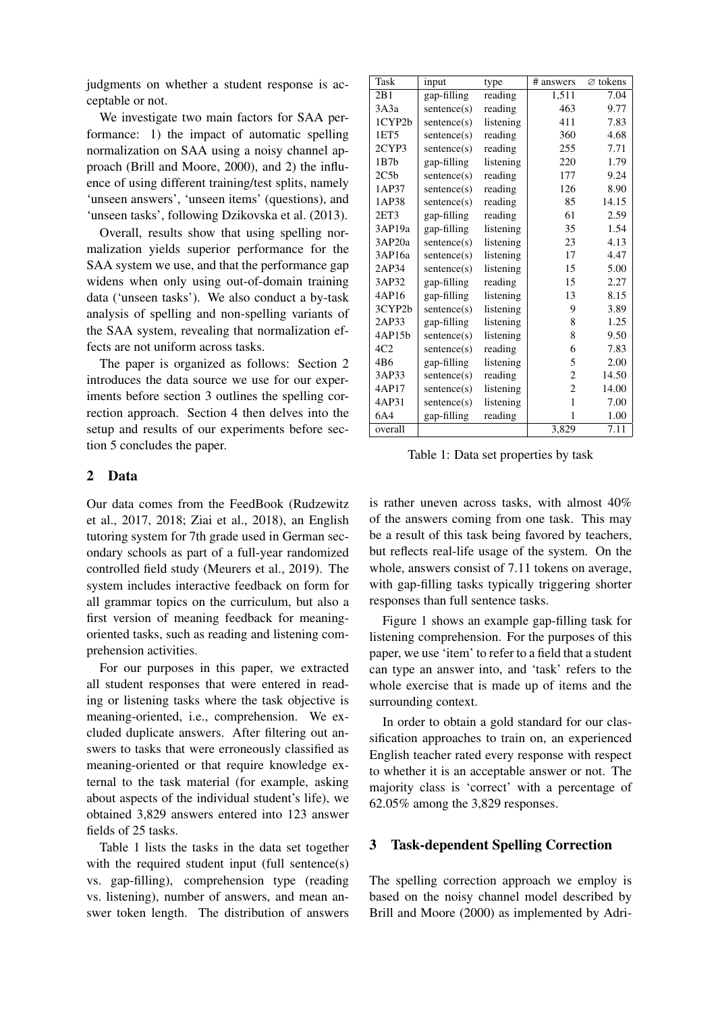judgments on whether a student response is acceptable or not.

We investigate two main factors for SAA performance: 1) the impact of automatic spelling normalization on SAA using a noisy channel approach [\(Brill and Moore,](#page-5-0) [2000\)](#page-5-0), and 2) the influence of using different training/test splits, namely 'unseen answers', 'unseen items' (questions), and 'unseen tasks', following [Dzikovska et al.](#page-5-2) [\(2013\)](#page-5-2).

Overall, results show that using spelling normalization yields superior performance for the SAA system we use, and that the performance gap widens when only using out-of-domain training data ('unseen tasks'). We also conduct a by-task analysis of spelling and non-spelling variants of the SAA system, revealing that normalization effects are not uniform across tasks.

The paper is organized as follows: Section [2](#page-1-0) introduces the data source we use for our experiments before section [3](#page-1-1) outlines the spelling correction approach. Section [4](#page-2-0) then delves into the setup and results of our experiments before section [5](#page-4-0) concludes the paper.

#### <span id="page-1-0"></span>2 Data

Our data comes from the FeedBook [\(Rudzewitz](#page-6-0) [et al.,](#page-6-0) [2017,](#page-6-0) [2018;](#page-6-7) [Ziai et al.,](#page-6-1) [2018\)](#page-6-1), an English tutoring system for 7th grade used in German secondary schools as part of a full-year randomized controlled field study [\(Meurers et al.,](#page-6-8) [2019\)](#page-6-8). The system includes interactive feedback on form for all grammar topics on the curriculum, but also a first version of meaning feedback for meaningoriented tasks, such as reading and listening comprehension activities.

For our purposes in this paper, we extracted all student responses that were entered in reading or listening tasks where the task objective is meaning-oriented, i.e., comprehension. We excluded duplicate answers. After filtering out answers to tasks that were erroneously classified as meaning-oriented or that require knowledge external to the task material (for example, asking about aspects of the individual student's life), we obtained 3,829 answers entered into 123 answer fields of 25 tasks.

Table [1](#page-1-2) lists the tasks in the data set together with the required student input (full sentence(s) vs. gap-filling), comprehension type (reading vs. listening), number of answers, and mean answer token length. The distribution of answers

| Task    | input       | type      | # answers      | $\varnothing$ tokens |
|---------|-------------|-----------|----------------|----------------------|
| 2B1     | gap-filling | reading   | 1.511          | 7.04                 |
| 3A3a    | sentence(s) | reading   | 463            | 9.77                 |
| 1CYP2b  | sentence(s) | listening | 411            | 7.83                 |
| 1ET5    | sentence(s) | reading   | 360            | 4.68                 |
| 2CYP3   | sentence(s) | reading   | 255            | 7.71                 |
| 1B7h    | gap-filling | listening | 220            | 1.79                 |
| 2C5b    | sentence(s) | reading   | 177            | 9.24                 |
| 1AP37   | sentence(s) | reading   | 126            | 8.90                 |
| 1AP38   | sentence(s) | reading   | 85             | 14.15                |
| 2ET3    | gap-filling | reading   | 61             | 2.59                 |
| 3AP19a  | gap-filling | listening | 35             | 1.54                 |
| 3AP20a  | sentence(s) | listening | 23             | 4.13                 |
| 3AP16a  | sentence(s) | listening | 17             | 4.47                 |
| 2AP34   | sentence(s) | listening | 15             | 5.00                 |
| 3AP32   | gap-filling | reading   | 15             | 2.27                 |
| 4AP16   | gap-filling | listening | 13             | 8.15                 |
| 3CYP2b  | sentence(s) | listening | 9              | 3.89                 |
| 2AP33   | gap-filling | listening | 8              | 1.25                 |
| 4AP15b  | sentence(s) | listening | 8              | 9.50                 |
| 4C2     | sentence(s) | reading   | 6              | 7.83                 |
| 4B6     | gap-filling | listening | 5              | 2.00                 |
| 3AP33   | sentence(s) | reading   | $\overline{c}$ | 14.50                |
| 4AP17   | sentence(s) | listening | $\overline{2}$ | 14.00                |
| 4AP31   | sentence(s) | listening | 1              | 7.00                 |
| 6A4     | gap-filling | reading   | 1              | 1.00                 |
| overall |             |           | 3,829          | 7.11                 |

<span id="page-1-2"></span>Table 1: Data set properties by task

is rather uneven across tasks, with almost 40% of the answers coming from one task. This may be a result of this task being favored by teachers, but reflects real-life usage of the system. On the whole, answers consist of 7.11 tokens on average, with gap-filling tasks typically triggering shorter responses than full sentence tasks.

Figure [1](#page-2-1) shows an example gap-filling task for listening comprehension. For the purposes of this paper, we use 'item' to refer to a field that a student can type an answer into, and 'task' refers to the whole exercise that is made up of items and the surrounding context.

In order to obtain a gold standard for our classification approaches to train on, an experienced English teacher rated every response with respect to whether it is an acceptable answer or not. The majority class is 'correct' with a percentage of 62.05% among the 3,829 responses.

### <span id="page-1-1"></span>3 Task-dependent Spelling Correction

The spelling correction approach we employ is based on the noisy channel model described by [Brill and Moore](#page-5-0) [\(2000\)](#page-5-0) as implemented by Adri-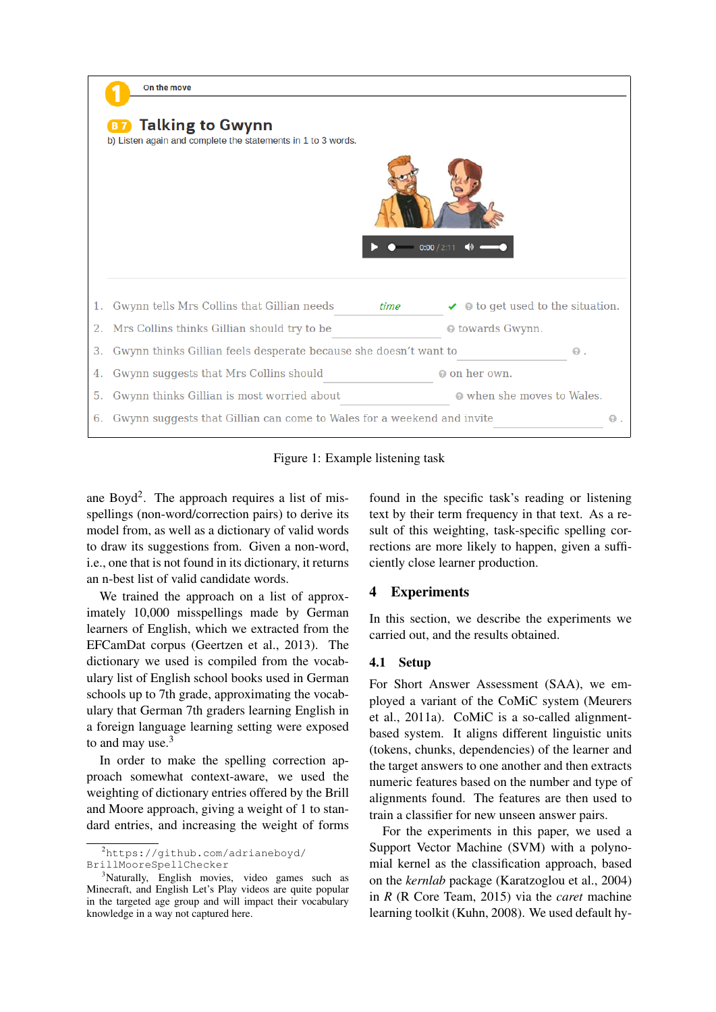

Figure 1: Example listening task

ane Boyd<sup>[2](#page-0-0)</sup>. The approach requires a list of misspellings (non-word/correction pairs) to derive its model from, as well as a dictionary of valid words to draw its suggestions from. Given a non-word, i.e., one that is not found in its dictionary, it returns an n-best list of valid candidate words.

We trained the approach on a list of approximately 10,000 misspellings made by German learners of English, which we extracted from the EFCamDat corpus [\(Geertzen et al.,](#page-6-9) [2013\)](#page-6-9). The dictionary we used is compiled from the vocabulary list of English school books used in German schools up to 7th grade, approximating the vocabulary that German 7th graders learning English in a foreign language learning setting were exposed to and may use.<sup>[3](#page-0-0)</sup>

In order to make the spelling correction approach somewhat context-aware, we used the weighting of dictionary entries offered by the [Brill](#page-5-0) [and Moore](#page-5-0) approach, giving a weight of 1 to standard entries, and increasing the weight of forms

<span id="page-2-1"></span>found in the specific task's reading or listening text by their term frequency in that text. As a result of this weighting, task-specific spelling corrections are more likely to happen, given a sufficiently close learner production.

## <span id="page-2-0"></span>4 Experiments

In this section, we describe the experiments we carried out, and the results obtained.

## 4.1 Setup

For Short Answer Assessment (SAA), we employed a variant of the CoMiC system [\(Meurers](#page-6-4) [et al.,](#page-6-4) [2011a\)](#page-6-4). CoMiC is a so-called alignmentbased system. It aligns different linguistic units (tokens, chunks, dependencies) of the learner and the target answers to one another and then extracts numeric features based on the number and type of alignments found. The features are then used to train a classifier for new unseen answer pairs.

For the experiments in this paper, we used a Support Vector Machine (SVM) with a polynomial kernel as the classification approach, based on the *kernlab* package [\(Karatzoglou et al.,](#page-6-10) [2004\)](#page-6-10) in *R* [\(R Core Team,](#page-6-11) [2015\)](#page-6-11) via the *caret* machine learning toolkit [\(Kuhn,](#page-6-12) [2008\)](#page-6-12). We used default hy-

<sup>2</sup>[https://github.com/adrianeboyd/](https://github.com/adrianeboyd/BrillMooreSpellChecker) [BrillMooreSpellChecker](https://github.com/adrianeboyd/BrillMooreSpellChecker)

<sup>&</sup>lt;sup>3</sup>Naturally, English movies, video games such as Minecraft, and English Let's Play videos are quite popular in the targeted age group and will impact their vocabulary knowledge in a way not captured here.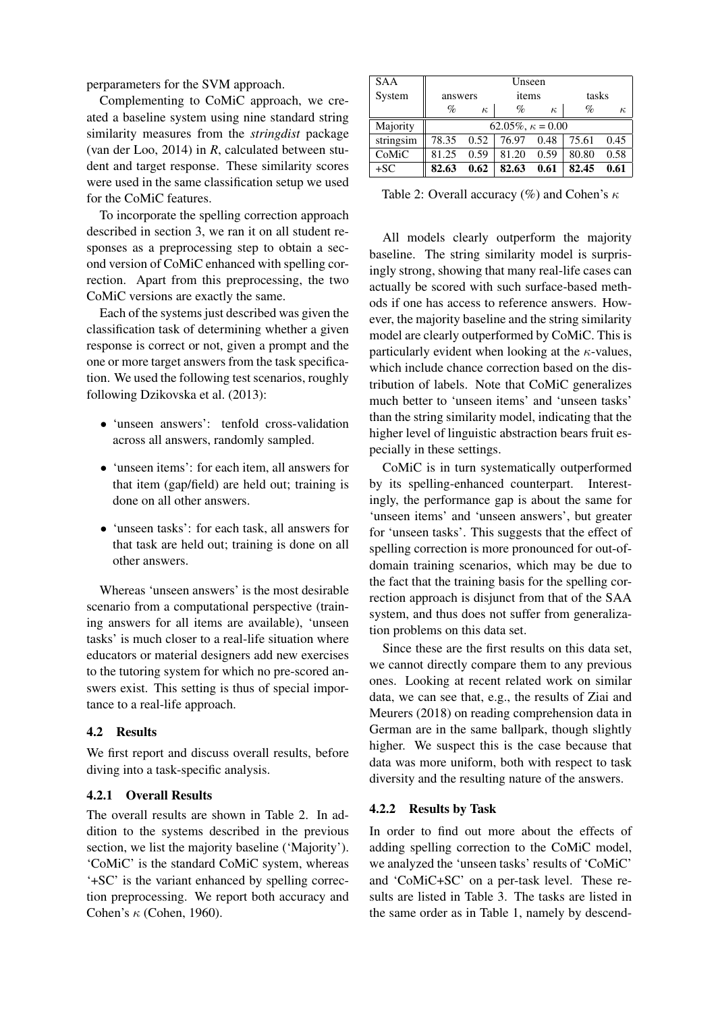perparameters for the SVM approach.

Complementing to CoMiC approach, we created a baseline system using nine standard string similarity measures from the *stringdist* package [\(van der Loo,](#page-6-13) [2014\)](#page-6-13) in *R*, calculated between student and target response. These similarity scores were used in the same classification setup we used for the CoMiC features.

To incorporate the spelling correction approach described in section [3,](#page-1-1) we ran it on all student responses as a preprocessing step to obtain a second version of CoMiC enhanced with spelling correction. Apart from this preprocessing, the two CoMiC versions are exactly the same.

Each of the systems just described was given the classification task of determining whether a given response is correct or not, given a prompt and the one or more target answers from the task specification. We used the following test scenarios, roughly following [Dzikovska et al.](#page-5-2) [\(2013\)](#page-5-2):

- 'unseen answers': tenfold cross-validation across all answers, randomly sampled.
- 'unseen items': for each item, all answers for that item (gap/field) are held out; training is done on all other answers.
- 'unseen tasks': for each task, all answers for that task are held out; training is done on all other answers.

Whereas 'unseen answers' is the most desirable scenario from a computational perspective (training answers for all items are available), 'unseen tasks' is much closer to a real-life situation where educators or material designers add new exercises to the tutoring system for which no pre-scored answers exist. This setting is thus of special importance to a real-life approach.

### 4.2 Results

We first report and discuss overall results, before diving into a task-specific analysis.

## 4.2.1 Overall Results

The overall results are shown in Table [2.](#page-3-0) In addition to the systems described in the previous section, we list the majority baseline ('Majority'). 'CoMiC' is the standard CoMiC system, whereas '+SC' is the variant enhanced by spelling correction preprocessing. We report both accuracy and Cohen's  $\kappa$  [\(Cohen,](#page-5-3) [1960\)](#page-5-3).

| <b>SAA</b> | Unseen                   |          |       |          |       |          |  |
|------------|--------------------------|----------|-------|----------|-------|----------|--|
| System     | answers                  |          | items |          | tasks |          |  |
|            | $\%$                     | $\kappa$ | $\%$  | $\kappa$ | $\%$  | $\kappa$ |  |
| Majority   | $62.05\%, \kappa = 0.00$ |          |       |          |       |          |  |
| stringsim  | 78.35                    | 0.52     | 76.97 | 0.48     | 75.61 | 0.45     |  |
| CoMiC      | 81.25                    | 0.59     | 81.20 | 0.59     | 80.80 | 0.58     |  |
| $+SC$      | 82.63                    | 0.62     | 82.63 | 0.61     | 82.45 | 0.61     |  |

<span id="page-3-0"></span>Table 2: Overall accuracy (%) and Cohen's  $\kappa$ 

All models clearly outperform the majority baseline. The string similarity model is surprisingly strong, showing that many real-life cases can actually be scored with such surface-based methods if one has access to reference answers. However, the majority baseline and the string similarity model are clearly outperformed by CoMiC. This is particularly evident when looking at the  $\kappa$ -values, which include chance correction based on the distribution of labels. Note that CoMiC generalizes much better to 'unseen items' and 'unseen tasks' than the string similarity model, indicating that the higher level of linguistic abstraction bears fruit especially in these settings.

CoMiC is in turn systematically outperformed by its spelling-enhanced counterpart. Interestingly, the performance gap is about the same for 'unseen items' and 'unseen answers', but greater for 'unseen tasks'. This suggests that the effect of spelling correction is more pronounced for out-ofdomain training scenarios, which may be due to the fact that the training basis for the spelling correction approach is disjunct from that of the SAA system, and thus does not suffer from generalization problems on this data set.

Since these are the first results on this data set, we cannot directly compare them to any previous ones. Looking at recent related work on similar data, we can see that, e.g., the results of [Ziai and](#page-6-14) [Meurers](#page-6-14) [\(2018\)](#page-6-14) on reading comprehension data in German are in the same ballpark, though slightly higher. We suspect this is the case because that data was more uniform, both with respect to task diversity and the resulting nature of the answers.

### 4.2.2 Results by Task

In order to find out more about the effects of adding spelling correction to the CoMiC model, we analyzed the 'unseen tasks' results of 'CoMiC' and 'CoMiC+SC' on a per-task level. These results are listed in Table [3.](#page-4-1) The tasks are listed in the same order as in Table [1,](#page-1-2) namely by descend-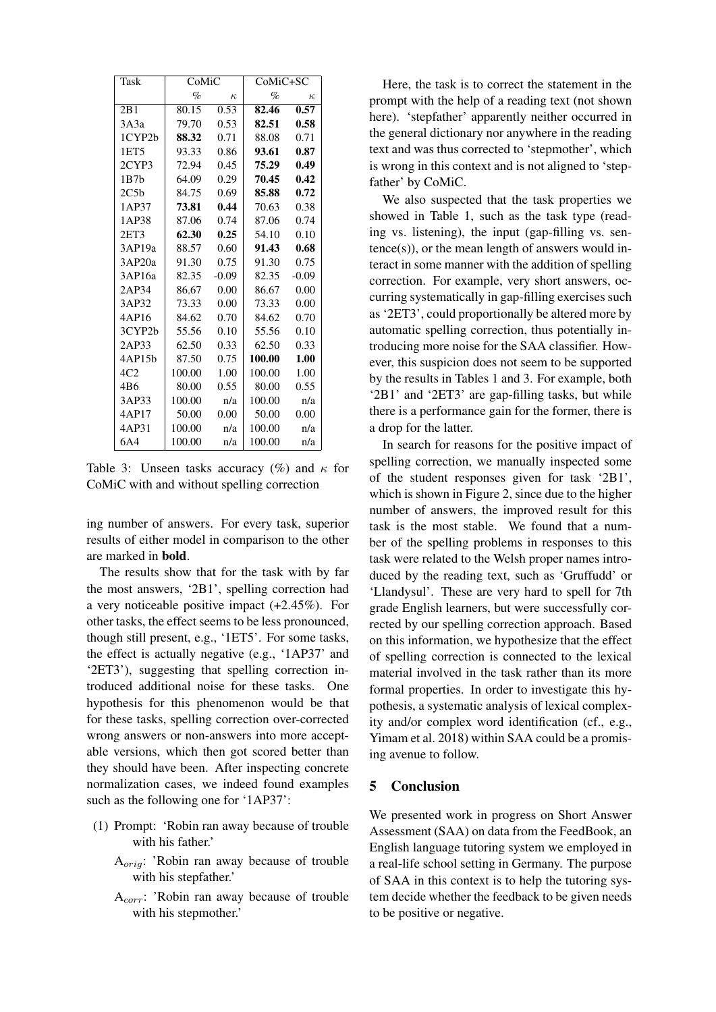| <b>Task</b>       | CoMiC  |          | CoMiC+SC |          |  |
|-------------------|--------|----------|----------|----------|--|
|                   | $\%$   | $\kappa$ | $\%$     | $\kappa$ |  |
| 2B1               | 80.15  | 0.53     | 82.46    | 0.57     |  |
| 3A3a              | 79.70  | 0.53     | 82.51    | 0.58     |  |
| 1CYP2b            | 88.32  | 0.71     | 88.08    | 0.71     |  |
| 1ET5              | 93.33  | 0.86     | 93.61    | 0.87     |  |
| 2CYP3             | 72.94  | 0.45     | 75.29    | 0.49     |  |
| 1B7b              | 64.09  | 0.29     | 70.45    | 0.42     |  |
| 2C <sub>5</sub> b | 84.75  | 0.69     | 85.88    | 0.72     |  |
| 1AP37             | 73.81  | 0.44     | 70.63    | 0.38     |  |
| 1AP38             | 87.06  | 0.74     | 87.06    | 0.74     |  |
| 2ET3              | 62.30  | 0.25     | 54.10    | 0.10     |  |
| 3AP19a            | 88.57  | 0.60     | 91.43    | 0.68     |  |
| 3AP20a            | 91.30  | 0.75     | 91.30    | 0.75     |  |
| 3AP16a            | 82.35  | $-0.09$  | 82.35    | $-0.09$  |  |
| 2AP34             | 86.67  | 0.00     | 86.67    | 0.00     |  |
| 3AP32             | 73.33  | 0.00     | 73.33    | 0.00     |  |
| 4AP16             | 84.62  | 0.70     | 84.62    | 0.70     |  |
| 3CYP2b            | 55.56  | 0.10     | 55.56    | 0.10     |  |
| 2AP33             | 62.50  | 0.33     | 62.50    | 0.33     |  |
| 4AP15b            | 87.50  | 0.75     | 100.00   | 1.00     |  |
| 4C2               | 100.00 | 1.00     | 100.00   | 1.00     |  |
| 4B6               | 80.00  | 0.55     | 80.00    | 0.55     |  |
| 3AP33             | 100.00 | n/a      | 100.00   | n/a      |  |
| 4AP17             | 50.00  | 0.00     | 50.00    | 0.00     |  |
| 4AP31             | 100.00 | n/a      | 100.00   | n/a      |  |
| 6A4               | 100.00 | n/a      | 100.00   | n/a      |  |

<span id="page-4-1"></span>Table 3: Unseen tasks accuracy (%) and  $\kappa$  for CoMiC with and without spelling correction

ing number of answers. For every task, superior results of either model in comparison to the other are marked in bold.

The results show that for the task with by far the most answers, '2B1', spelling correction had a very noticeable positive impact (+2.45%). For other tasks, the effect seems to be less pronounced, though still present, e.g., '1ET5'. For some tasks, the effect is actually negative (e.g., '1AP37' and '2ET3'), suggesting that spelling correction introduced additional noise for these tasks. One hypothesis for this phenomenon would be that for these tasks, spelling correction over-corrected wrong answers or non-answers into more acceptable versions, which then got scored better than they should have been. After inspecting concrete normalization cases, we indeed found examples such as the following one for '1AP37':

- (1) Prompt: 'Robin ran away because of trouble with his father.'
	- Aorig: 'Robin ran away because of trouble with his stepfather.'
	- Acorr: 'Robin ran away because of trouble with his stepmother.'

Here, the task is to correct the statement in the prompt with the help of a reading text (not shown here). 'stepfather' apparently neither occurred in the general dictionary nor anywhere in the reading text and was thus corrected to 'stepmother', which is wrong in this context and is not aligned to 'stepfather' by CoMiC.

We also suspected that the task properties we showed in Table [1,](#page-1-2) such as the task type (reading vs. listening), the input (gap-filling vs. sen $tence(s)$ , or the mean length of answers would interact in some manner with the addition of spelling correction. For example, very short answers, occurring systematically in gap-filling exercises such as '2ET3', could proportionally be altered more by automatic spelling correction, thus potentially introducing more noise for the SAA classifier. However, this suspicion does not seem to be supported by the results in Tables [1](#page-1-2) and [3.](#page-4-1) For example, both '2B1' and '2ET3' are gap-filling tasks, but while there is a performance gain for the former, there is a drop for the latter.

In search for reasons for the positive impact of spelling correction, we manually inspected some of the student responses given for task '2B1', which is shown in Figure [2,](#page-5-4) since due to the higher number of answers, the improved result for this task is the most stable. We found that a number of the spelling problems in responses to this task were related to the Welsh proper names introduced by the reading text, such as 'Gruffudd' or 'Llandysul'. These are very hard to spell for 7th grade English learners, but were successfully corrected by our spelling correction approach. Based on this information, we hypothesize that the effect of spelling correction is connected to the lexical material involved in the task rather than its more formal properties. In order to investigate this hypothesis, a systematic analysis of lexical complexity and/or complex word identification (cf., e.g., [Yimam et al.](#page-6-15) [2018\)](#page-6-15) within SAA could be a promising avenue to follow.

## <span id="page-4-0"></span>5 Conclusion

We presented work in progress on Short Answer Assessment (SAA) on data from the FeedBook, an English language tutoring system we employed in a real-life school setting in Germany. The purpose of SAA in this context is to help the tutoring system decide whether the feedback to be given needs to be positive or negative.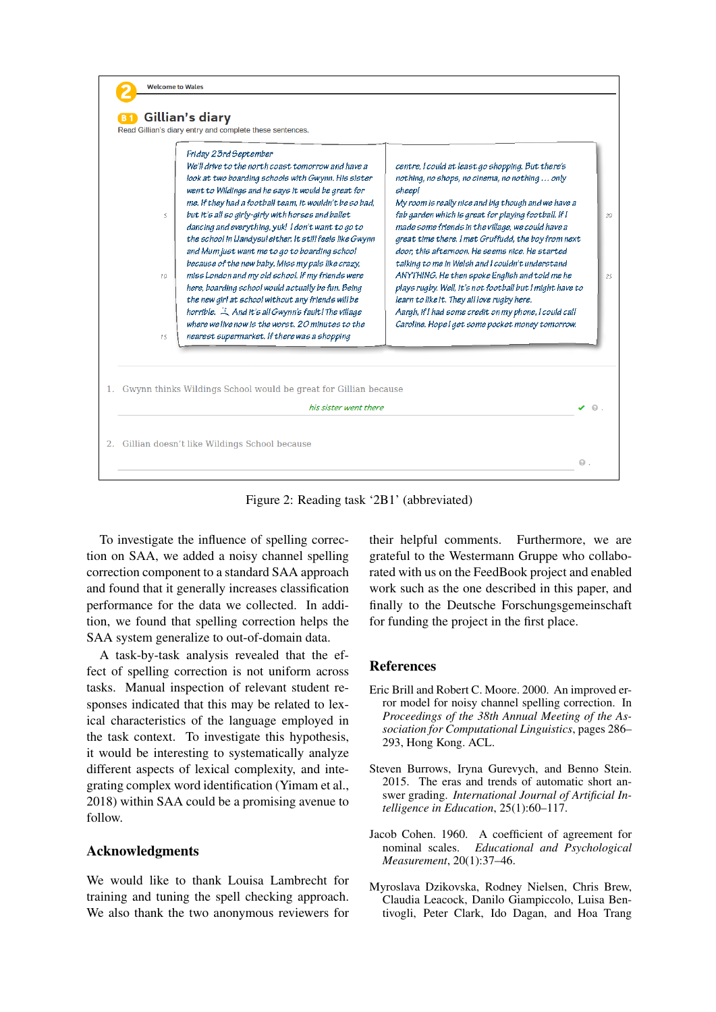

<span id="page-5-4"></span>Figure 2: Reading task '2B1' (abbreviated)

To investigate the influence of spelling correction on SAA, we added a noisy channel spelling correction component to a standard SAA approach and found that it generally increases classification performance for the data we collected. In addition, we found that spelling correction helps the SAA system generalize to out-of-domain data.

A task-by-task analysis revealed that the effect of spelling correction is not uniform across tasks. Manual inspection of relevant student responses indicated that this may be related to lexical characteristics of the language employed in the task context. To investigate this hypothesis, it would be interesting to systematically analyze different aspects of lexical complexity, and integrating complex word identification [\(Yimam et al.,](#page-6-15) [2018\)](#page-6-15) within SAA could be a promising avenue to follow.

## Acknowledgments

We would like to thank Louisa Lambrecht for training and tuning the spell checking approach. We also thank the two anonymous reviewers for

their helpful comments. Furthermore, we are grateful to the Westermann Gruppe who collaborated with us on the FeedBook project and enabled work such as the one described in this paper, and finally to the Deutsche Forschungsgemeinschaft for funding the project in the first place.

### **References**

- <span id="page-5-0"></span>Eric Brill and Robert C. Moore. 2000. [An improved er](https://doi.org/10.3115/1075218.1075255)[ror model for noisy channel spelling correction.](https://doi.org/10.3115/1075218.1075255) In *Proceedings of the 38th Annual Meeting of the Association for Computational Linguistics*, pages 286– 293, Hong Kong. ACL.
- <span id="page-5-1"></span>Steven Burrows, Iryna Gurevych, and Benno Stein. 2015. The eras and trends of automatic short answer grading. *International Journal of Artificial Intelligence in Education*, 25(1):60–117.
- <span id="page-5-3"></span>Jacob Cohen. 1960. A coefficient of agreement for nominal scales. *Educational and Psychological Measurement*, 20(1):37–46.
- <span id="page-5-2"></span>Myroslava Dzikovska, Rodney Nielsen, Chris Brew, Claudia Leacock, Danilo Giampiccolo, Luisa Bentivogli, Peter Clark, Ido Dagan, and Hoa Trang